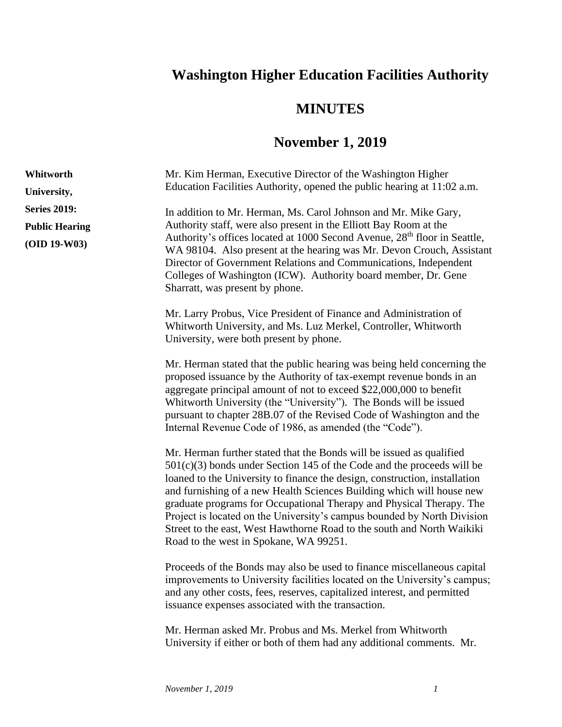## **Washington Higher Education Facilities Authority**

## **MINUTES**

## **November 1, 2019**

| Whitworth             | Mr. Kim Herman, Executive Director of the Washington Higher                                                                                                                                                                                                                                                                                                                                                                                                                                                                                                                    |
|-----------------------|--------------------------------------------------------------------------------------------------------------------------------------------------------------------------------------------------------------------------------------------------------------------------------------------------------------------------------------------------------------------------------------------------------------------------------------------------------------------------------------------------------------------------------------------------------------------------------|
| University,           | Education Facilities Authority, opened the public hearing at 11:02 a.m.                                                                                                                                                                                                                                                                                                                                                                                                                                                                                                        |
| <b>Series 2019:</b>   | In addition to Mr. Herman, Ms. Carol Johnson and Mr. Mike Gary,                                                                                                                                                                                                                                                                                                                                                                                                                                                                                                                |
| <b>Public Hearing</b> | Authority staff, were also present in the Elliott Bay Room at the<br>Authority's offices located at 1000 Second Avenue, 28 <sup>th</sup> floor in Seattle,                                                                                                                                                                                                                                                                                                                                                                                                                     |
| $(OID 19-W03)$        | WA 98104. Also present at the hearing was Mr. Devon Crouch, Assistant<br>Director of Government Relations and Communications, Independent<br>Colleges of Washington (ICW). Authority board member, Dr. Gene<br>Sharratt, was present by phone.                                                                                                                                                                                                                                                                                                                                 |
|                       | Mr. Larry Probus, Vice President of Finance and Administration of<br>Whitworth University, and Ms. Luz Merkel, Controller, Whitworth<br>University, were both present by phone.                                                                                                                                                                                                                                                                                                                                                                                                |
|                       | Mr. Herman stated that the public hearing was being held concerning the<br>proposed issuance by the Authority of tax-exempt revenue bonds in an<br>aggregate principal amount of not to exceed \$22,000,000 to benefit<br>Whitworth University (the "University"). The Bonds will be issued<br>pursuant to chapter 28B.07 of the Revised Code of Washington and the<br>Internal Revenue Code of 1986, as amended (the "Code").                                                                                                                                                 |
|                       | Mr. Herman further stated that the Bonds will be issued as qualified<br>$501(c)(3)$ bonds under Section 145 of the Code and the proceeds will be<br>loaned to the University to finance the design, construction, installation<br>and furnishing of a new Health Sciences Building which will house new<br>graduate programs for Occupational Therapy and Physical Therapy. The<br>Project is located on the University's campus bounded by North Division<br>Street to the east, West Hawthorne Road to the south and North Waikiki<br>Road to the west in Spokane, WA 99251. |
|                       | Proceeds of the Bonds may also be used to finance miscellaneous capital<br>improvements to University facilities located on the University's campus;<br>and any other costs, fees, reserves, capitalized interest, and permitted<br>issuance expenses associated with the transaction.                                                                                                                                                                                                                                                                                         |
|                       | Mr. Herman asked Mr. Probus and Ms. Merkel from Whitworth<br>University if either or both of them had any additional comments. Mr.                                                                                                                                                                                                                                                                                                                                                                                                                                             |